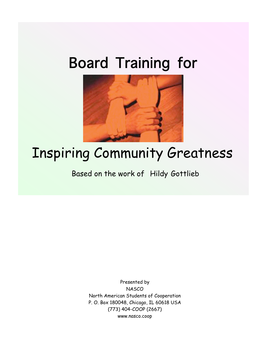## Board Training for



## Inspiring Community Greatness

Based on the work of Hildy Gottlieb

Presented by **NASCO** North American Students of Cooperation P. O. Box 180048, Chicago, IL 60618 USA (773) 404-COOP (2667) www.nasco.coop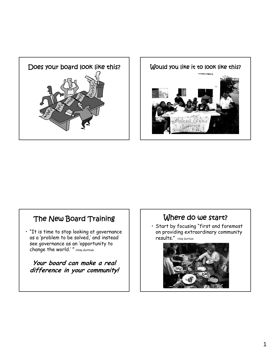



#### The New Board Training

• "It is time to stop looking at governance as a 'problem to be solved,' and instead see governance as an 'opportunity to change the world.' " Hildy Gottlieb

**Your board can make a real difference in your community!**

#### Where do we start?

• Start by focusing "first and foremost on providing extraordinary community results." Hildy Gottlieb

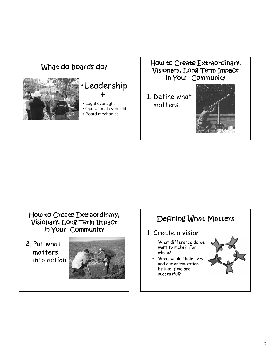



1. Define what matters.



#### How to Create Extraordinary, Visionary, Long Term Impact in Your Community

2. Put what matters into action.



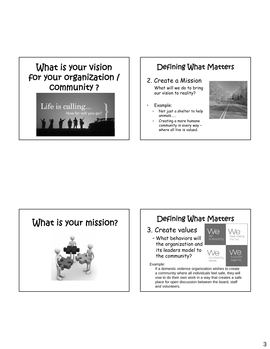



#### Defining What Matters

#### 2. Create a Mission

What will we do to bring our vision to reality?

- Example:
	- Not just a shelter to help animals……
	- Creating a more humane community in every way – where all live is valued.





- 3. Create values
	- What behaviors will the organization and its leaders model to the community?



#### Example:

If a domestic violence organization wishes to create a community where all individuals feel safe, they will vow to do their own work in a way that creates a safe place for open discussion between the board, staff and volunteers.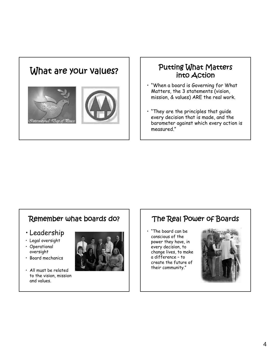# What are your values?  $\parallel$   $\parallel$  Putting What Matters ™ernational ∞ay of Re

## into Action

- "When a board is Governing for What Matters, the 3 statements (vision, mission, & values) ARE the real work.
- "They are the principles that guide every decision that is made, and the barometer against which every action is measured."

#### Remember what boards do?

- Leadership
- Legal oversight
- Operational oversight
- Board mechanics
- All must be related to the vision, mission and values.



### The Real Power of Boards

• "The board can be conscious of the power they have, in every decision, to change lives, to make a difference – to create the future of their community."

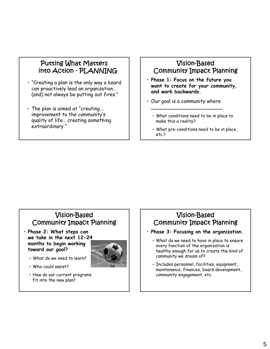#### Putting What Matters into Action - PLANNING

- "Creating a plan is the only way a board can proactively lead an organization… (and) not always be putting out fires."
- The plan is aimed at "creating…. improvement to the community's quality of life… creating something extraordinary."

#### Vision-Based Community Impact Planning

- **Phase 1: Focus on the future you want to create for your community, and work backwards.**
- Our goal is a community where

\_\_\_\_\_\_\_\_\_\_\_\_\_\_\_\_\_\_\_\_\_\_\_.

- What conditions need to be in place to make this a reality?
- What pre-conditions need to be in place, etc.?

#### Vision-Based Community Impact Planning

• **Phase 2: What steps can we take in the next 12-24 months to begin working toward our goal?**



- What do we need to learn?
- Who could assist?
- How do our current programs fit into the new plan?

#### Vision-Based Community Impact Planning

- **Phase 3: Focusing on the organization.**
	- What do we need to have in place to ensure every function of the organization is healthy enough for us to create the kind of community we dream of?
	- Includes personnel, facilities, equipment, maintenance, finances, board development, community engagement, etc.